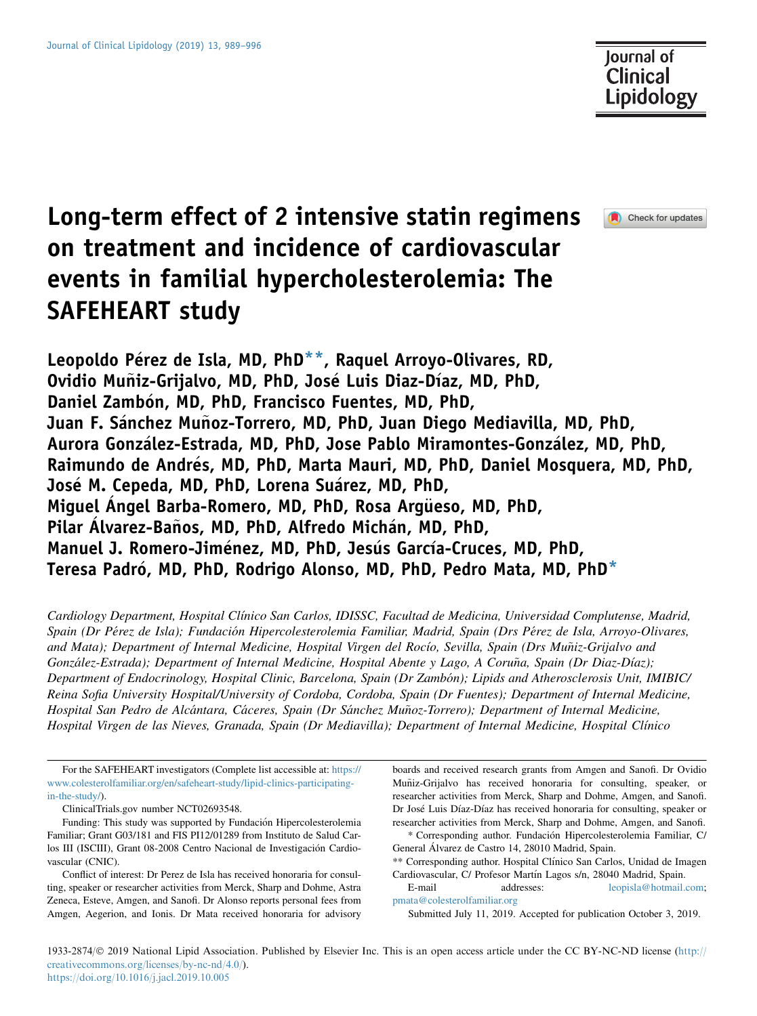Check for updates

# Long-term effect of 2 intensive statin regimens on treatment and incidence of cardiovascular events in familial hypercholesterolemia: The SAFEHEART study

Leopoldo Pérez de Isla, MD, PhD<sup>\*\*</sup>, Raquel Arroyo-Olivares, RD, Ovidio Muñiz-Grijalvo, MD, PhD, José Luis Diaz-Díaz, MD, PhD, Daniel Zambón, MD, PhD, Francisco Fuentes, MD, PhD, Juan F. Sánchez Muñoz-Torrero, MD, PhD, Juan Diego Mediavilla, MD, PhD, Aurora Gonzalez-Estrada, MD, PhD, Jose Pablo Miramontes-Gonzalez, MD, PhD, Raimundo de Andres, MD, PhD, Marta Mauri, MD, PhD, Daniel Mosquera, MD, PhD, Jose M. Cepeda, MD, PhD, Lorena Suarez, MD, PhD, Miquel Angel Barba-Romero, MD, PhD, Rosa Arqueso, MD, PhD, Pilar Álvarez-Baños, MD, PhD, Alfredo Michán, MD, PhD, Manuel J. Romero-Jiménez, MD, PhD, Jesús García-Cruces, MD, PhD, Teresa Padró, MD, PhD, Rodrigo Alonso, MD, PhD, Pedro Mata, MD, PhD<sup>\*</sup>

Cardiology Department, Hospital Clınico San Carlos, IDISSC, Facultad de Medicina, Universidad Complutense, Madrid, Spain (Dr Pérez de Isla); Fundación Hipercolesterolemia Familiar, Madrid, Spain (Drs Pérez de Isla, Arroyo-Olivares, and Mata); Department of Internal Medicine, Hospital Virgen del Rocío, Sevilla, Spain (Drs Muñiz-Grijalvo and González-Estrada); Department of Internal Medicine, Hospital Abente y Lago, A Coruña, Spain (Dr Diaz-Díaz); Department of Endocrinology, Hospital Clinic, Barcelona, Spain (Dr Zambón); Lipids and Atherosclerosis Unit, IMIBIC/ Reina Sofia University Hospital/University of Cordoba, Cordoba, Spain (Dr Fuentes); Department of Internal Medicine, Hospital San Pedro de Alcántara, Cáceres, Spain (Dr Sánchez Muñoz-Torrero); Department of Internal Medicine, Hospital Virgen de las Nieves, Granada, Spain (Dr Mediavilla); Department of Internal Medicine, Hospital Clınico

For the SAFEHEART investigators (Complete list accessible at: [https://](https://www.colesterolfamiliar.org/en/safeheart-study/lipid-clinics-participating-in-the-study/) [www.colesterolfamiliar.org/en/safeheart-study/lipid-clinics-participating](https://www.colesterolfamiliar.org/en/safeheart-study/lipid-clinics-participating-in-the-study/)[in-the-study/\)](https://www.colesterolfamiliar.org/en/safeheart-study/lipid-clinics-participating-in-the-study/).

ClinicalTrials.gov number NCT02693548.

Conflict of interest: Dr Perez de Isla has received honoraria for consulting, speaker or researcher activities from Merck, Sharp and Dohme, Astra Zeneca, Esteve, Amgen, and Sanofi. Dr Alonso reports personal fees from Amgen, Aegerion, and Ionis. Dr Mata received honoraria for advisory boards and received research grants from Amgen and Sanofi. Dr Ovidio Muñiz-Grijalvo has received honoraria for consulting, speaker, or researcher activities from Merck, Sharp and Dohme, Amgen, and Sanofi. Dr José Luis Díaz-Díaz has received honoraria for consulting, speaker or researcher activities from Merck, Sharp and Dohme, Amgen, and Sanofi.

1933-2874/© 2019 National Lipid Association. Published by Elsevier Inc. This is an open access article under the CC BY-NC-ND license [\(http://](http://creativecommons.org/licenses/by-nc-nd/4.0/) [creativecommons.org/licenses/by-nc-nd/4.0/\)](http://creativecommons.org/licenses/by-nc-nd/4.0/). <https://doi.org/10.1016/j.jacl.2019.10.005>

Funding: This study was supported by Fundación Hipercolesterolemia Familiar; Grant G03/181 and FIS PI12/01289 from Instituto de Salud Carlos III (ISCIII), Grant 08-2008 Centro Nacional de Investigación Cardiovascular (CNIC).

<sup>\*</sup> Corresponding author. Fundacion Hipercolesterolemia Familiar, C/ General Alvarez de Castro 14, 28010 Madrid, Spain.

<sup>\*\*</sup> Corresponding author. Hospital Clínico San Carlos, Unidad de Imagen Cardiovascular, C/ Profesor Martín Lagos s/n, 28040 Madrid, Spain.

E-mail addresses: [leopisla@hotmail.com;](mailto:leopisla@hotmail.com) [pmata@colesterolfamiliar.org](mailto:pmata@colesterolfamiliar.org)

Submitted July 11, 2019. Accepted for publication October 3, 2019.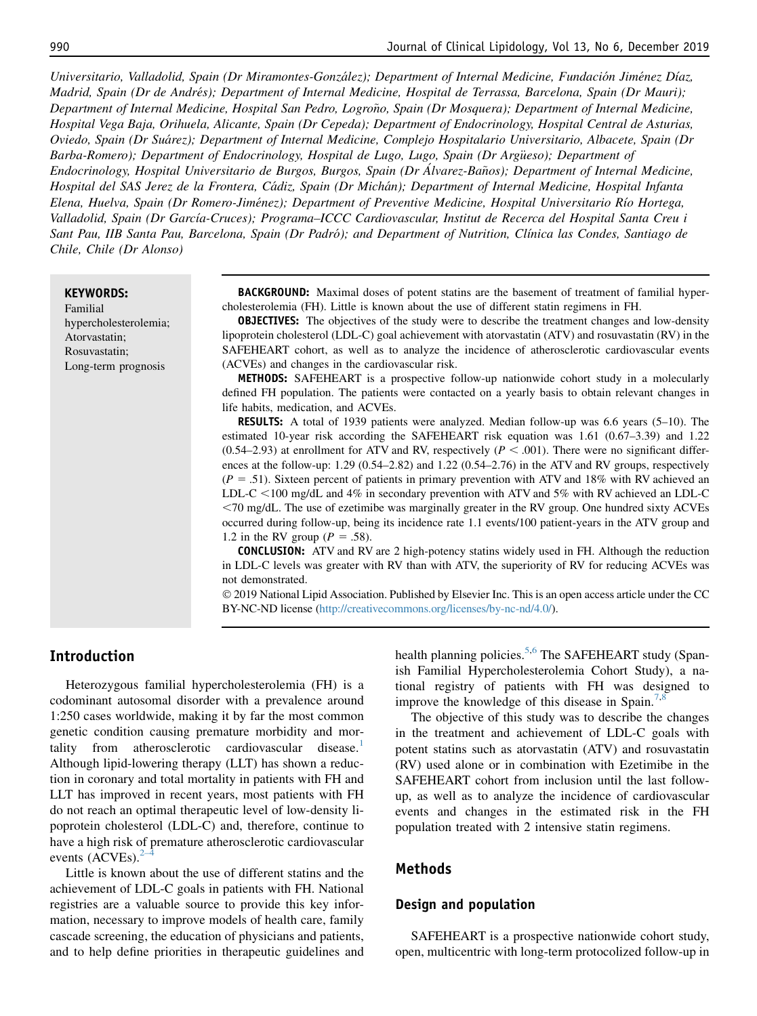Universitario, Valladolid, Spain (Dr Miramontes-Gonzalez); Department of Internal Medicine, Fundacion Jimenez Dıaz, Madrid, Spain (Dr de Andres); Department of Internal Medicine, Hospital de Terrassa, Barcelona, Spain (Dr Mauri); Department of Internal Medicine, Hospital San Pedro, Logroño, Spain (Dr Mosquera); Department of Internal Medicine, Hospital Vega Baja, Orihuela, Alicante, Spain (Dr Cepeda); Department of Endocrinology, Hospital Central de Asturias, Oviedo, Spain (Dr Suarez); Department of Internal Medicine, Complejo Hospitalario Universitario, Albacete, Spain (Dr Barba-Romero); Department of Endocrinology, Hospital de Lugo, Lugo, Spain (Dr Argüeso); Department of Endocrinology, Hospital Universitario de Burgos, Burgos, Spain (Dr Álvarez-Baños); Department of Internal Medicine, Hospital del SAS Jerez de la Frontera, Cadiz, Spain (Dr Michan); Department of Internal Medicine, Hospital Infanta Elena, Huelva, Spain (Dr Romero-Jimenez); Department of Preventive Medicine, Hospital Universitario Rıo Hortega, Valladolid, Spain (Dr Garcıa-Cruces); Programa–ICCC Cardiovascular, Institut de Recerca del Hospital Santa Creu i Sant Pau, IIB Santa Pau, Barcelona, Spain (Dr Padró); and Department of Nutrition, Clínica las Condes, Santiago de Chile, Chile (Dr Alonso)

KEYWORDS:

Familial hypercholesterolemia; Atorvastatin; Rosuvastatin; Long-term prognosis

**BACKGROUND:** Maximal doses of potent statins are the basement of treatment of familial hypercholesterolemia (FH). Little is known about the use of different statin regimens in FH.

**OBJECTIVES:** The objectives of the study were to describe the treatment changes and low-density lipoprotein cholesterol (LDL-C) goal achievement with atorvastatin (ATV) and rosuvastatin (RV) in the SAFEHEART cohort, as well as to analyze the incidence of atherosclerotic cardiovascular events (ACVEs) and changes in the cardiovascular risk.

METHODS: SAFEHEART is a prospective follow-up nationwide cohort study in a molecularly defined FH population. The patients were contacted on a yearly basis to obtain relevant changes in life habits, medication, and ACVEs.

RESULTS: A total of 1939 patients were analyzed. Median follow-up was 6.6 years (5–10). The estimated 10-year risk according the SAFEHEART risk equation was 1.61 (0.67–3.39) and 1.22  $(0.54-2.93)$  at enrollment for ATV and RV, respectively ( $P < .001$ ). There were no significant differences at the follow-up: 1.29 (0.54–2.82) and 1.22 (0.54–2.76) in the ATV and RV groups, respectively  $(P = .51)$ . Sixteen percent of patients in primary prevention with ATV and 18% with RV achieved an LDL-C  $\lt$  100 mg/dL and 4% in secondary prevention with ATV and 5% with RV achieved an LDL-C ,70 mg/dL. The use of ezetimibe was marginally greater in the RV group. One hundred sixty ACVEs occurred during follow-up, being its incidence rate 1.1 events/100 patient-years in the ATV group and 1.2 in the RV group ( $P = .58$ ).

CONCLUSION: ATV and RV are 2 high-potency statins widely used in FH. Although the reduction in LDL-C levels was greater with RV than with ATV, the superiority of RV for reducing ACVEs was not demonstrated.

 2019 National Lipid Association. Published by Elsevier Inc. This is an open access article under the CC BY-NC-ND license [\(http://creativecommons.org/licenses/by-nc-nd/4.0/\)](http://creativecommons.org/licenses/by-nc-nd/4.0/).

# Introduction

Heterozygous familial hypercholesterolemia (FH) is a codominant autosomal disorder with a prevalence around 1:250 cases worldwide, making it by far the most common genetic condition causing premature morbidity and mor-tality from atherosclerotic cardiovascular disease.<sup>[1](#page-7-0)</sup> Although lipid-lowering therapy (LLT) has shown a reduction in coronary and total mortality in patients with FH and LLT has improved in recent years, most patients with FH do not reach an optimal therapeutic level of low-density lipoprotein cholesterol (LDL-C) and, therefore, continue to have a high risk of premature atherosclerotic cardiovascular events  $(ACVEs)$ .<sup>2–4</sup>

Little is known about the use of different statins and the achievement of LDL-C goals in patients with FH. National registries are a valuable source to provide this key information, necessary to improve models of health care, family cascade screening, the education of physicians and patients, and to help define priorities in therapeutic guidelines and health planning policies.<sup>5,6</sup> The SAFEHEART study (Spanish Familial Hypercholesterolemia Cohort Study), a national registry of patients with FH was designed to improve the knowledge of this disease in Spain.<sup>[7,8](#page-7-0)</sup>

The objective of this study was to describe the changes in the treatment and achievement of LDL-C goals with potent statins such as atorvastatin (ATV) and rosuvastatin (RV) used alone or in combination with Ezetimibe in the SAFEHEART cohort from inclusion until the last followup, as well as to analyze the incidence of cardiovascular events and changes in the estimated risk in the FH population treated with 2 intensive statin regimens.

## Methods

#### Design and population

SAFEHEART is a prospective nationwide cohort study, open, multicentric with long-term protocolized follow-up in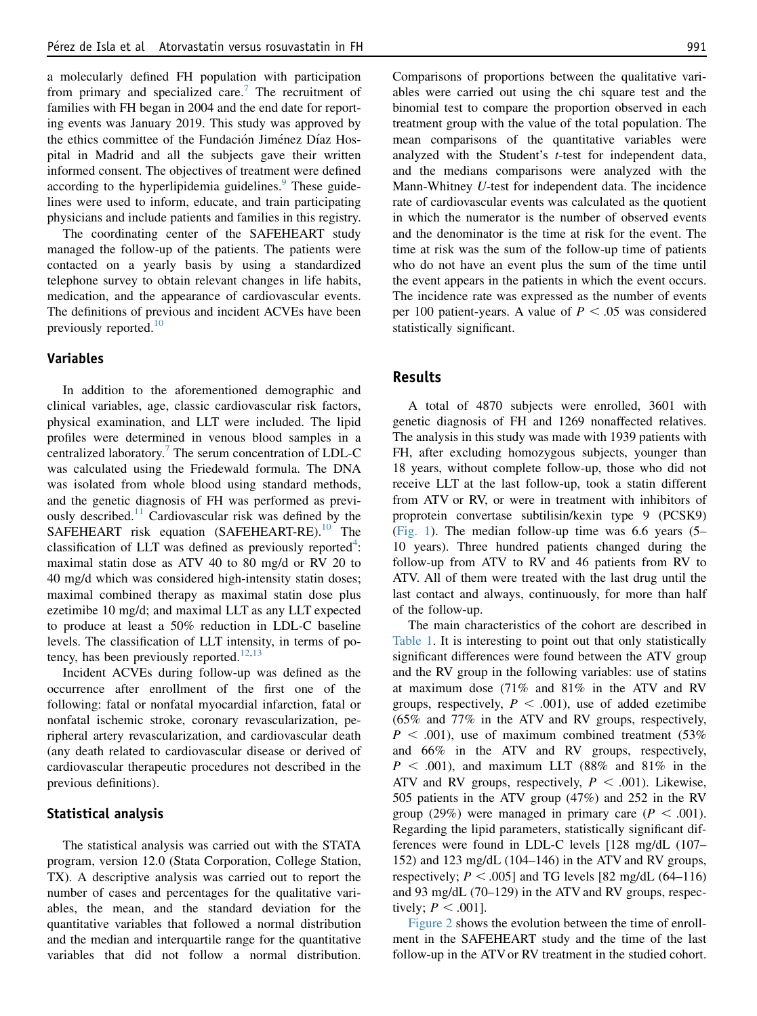a molecularly defined FH population with participation from primary and specialized care.<sup>[7](#page-7-0)</sup> The recruitment of families with FH began in 2004 and the end date for reporting events was January 2019. This study was approved by the ethics committee of the Fundación Jiménez Díaz Hospital in Madrid and all the subjects gave their written informed consent. The objectives of treatment were defined according to the hyperlipidemia guidelines.<sup>[9](#page-7-0)</sup> These guidelines were used to inform, educate, and train participating physicians and include patients and families in this registry.

The coordinating center of the SAFEHEART study managed the follow-up of the patients. The patients were contacted on a yearly basis by using a standardized telephone survey to obtain relevant changes in life habits, medication, and the appearance of cardiovascular events. The definitions of previous and incident ACVEs have been previously reported.<sup>[10](#page-7-0)</sup>

## Variables

In addition to the aforementioned demographic and clinical variables, age, classic cardiovascular risk factors, physical examination, and LLT were included. The lipid profiles were determined in venous blood samples in a centralized laboratory.[7](#page-7-0) The serum concentration of LDL-C was calculated using the Friedewald formula. The DNA was isolated from whole blood using standard methods, and the genetic diagnosis of FH was performed as previ-ously described.<sup>[11](#page-7-0)</sup> Cardiovascular risk was defined by the SAFEHEART risk equation (SAFEHEART-RE).<sup>[10](#page-7-0)</sup> The classification of LLT was defined as previously reported<sup>[4](#page-7-0)</sup>: maximal statin dose as ATV 40 to 80 mg/d or RV 20 to 40 mg/d which was considered high-intensity statin doses; maximal combined therapy as maximal statin dose plus ezetimibe 10 mg/d; and maximal LLT as any LLT expected to produce at least a 50% reduction in LDL-C baseline levels. The classification of LLT intensity, in terms of po-tency, has been previously reported.<sup>[12,13](#page-7-0)</sup>

Incident ACVEs during follow-up was defined as the occurrence after enrollment of the first one of the following: fatal or nonfatal myocardial infarction, fatal or nonfatal ischemic stroke, coronary revascularization, peripheral artery revascularization, and cardiovascular death (any death related to cardiovascular disease or derived of cardiovascular therapeutic procedures not described in the previous definitions).

## Statistical analysis

The statistical analysis was carried out with the STATA program, version 12.0 (Stata Corporation, College Station, TX). A descriptive analysis was carried out to report the number of cases and percentages for the qualitative variables, the mean, and the standard deviation for the quantitative variables that followed a normal distribution and the median and interquartile range for the quantitative variables that did not follow a normal distribution. Comparisons of proportions between the qualitative variables were carried out using the chi square test and the binomial test to compare the proportion observed in each treatment group with the value of the total population. The mean comparisons of the quantitative variables were analyzed with the Student's t-test for independent data, and the medians comparisons were analyzed with the Mann-Whitney U-test for independent data. The incidence rate of cardiovascular events was calculated as the quotient in which the numerator is the number of observed events and the denominator is the time at risk for the event. The time at risk was the sum of the follow-up time of patients who do not have an event plus the sum of the time until the event appears in the patients in which the event occurs. The incidence rate was expressed as the number of events per 100 patient-years. A value of  $P < .05$  was considered statistically significant.

# Results

A total of 4870 subjects were enrolled, 3601 with genetic diagnosis of FH and 1269 nonaffected relatives. The analysis in this study was made with 1939 patients with FH, after excluding homozygous subjects, younger than 18 years, without complete follow-up, those who did not receive LLT at the last follow-up, took a statin different from ATV or RV, or were in treatment with inhibitors of proprotein convertase subtilisin/kexin type 9 (PCSK9)  $(Fig. 1)$ . The median follow-up time was 6.6 years  $(5 -$ 10 years). Three hundred patients changed during the follow-up from ATV to RV and 46 patients from RV to ATV. All of them were treated with the last drug until the last contact and always, continuously, for more than half of the follow-up.

The main characteristics of the cohort are described in [Table 1](#page-4-0). It is interesting to point out that only statistically significant differences were found between the ATV group and the RV group in the following variables: use of statins at maximum dose (71% and 81% in the ATV and RV groups, respectively,  $P < .001$ ), use of added ezetimibe (65% and 77% in the ATV and RV groups, respectively,  $P < .001$ ), use of maximum combined treatment (53%) and 66% in the ATV and RV groups, respectively,  $P < .001$ ), and maximum LLT (88% and 81% in the ATV and RV groups, respectively,  $P < .001$ ). Likewise, 505 patients in the ATV group (47%) and 252 in the RV group (29%) were managed in primary care ( $P < .001$ ). Regarding the lipid parameters, statistically significant differences were found in LDL-C levels [128 mg/dL (107– 152) and 123 mg/dL (104–146) in the ATV and RV groups, respectively;  $P < .005$ ] and TG levels [82 mg/dL (64–116) and 93 mg/dL (70–129) in the ATV and RV groups, respectively;  $P < .001$ ].

[Figure 2](#page-4-0) shows the evolution between the time of enrollment in the SAFEHEART study and the time of the last follow-up in the ATV or RV treatment in the studied cohort.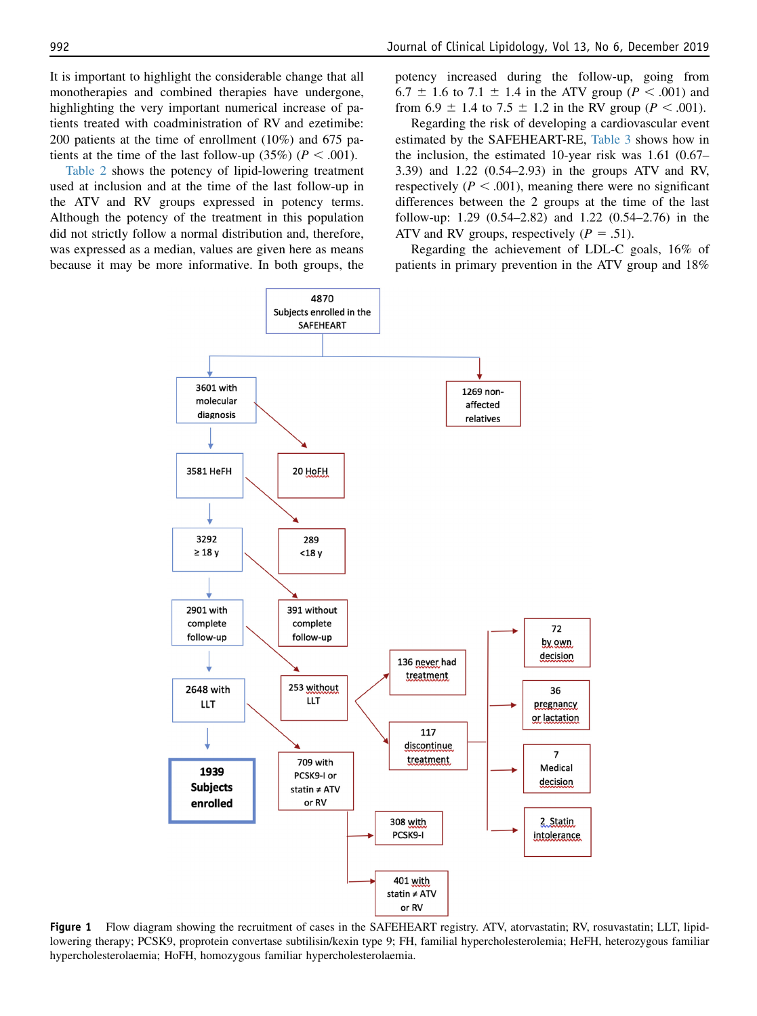<span id="page-3-0"></span>It is important to highlight the considerable change that all monotherapies and combined therapies have undergone, highlighting the very important numerical increase of patients treated with coadministration of RV and ezetimibe: 200 patients at the time of enrollment (10%) and 675 patients at the time of the last follow-up  $(35\%)$  ( $P < .001$ ).

[Table 2](#page-5-0) shows the potency of lipid-lowering treatment used at inclusion and at the time of the last follow-up in the ATV and RV groups expressed in potency terms. Although the potency of the treatment in this population did not strictly follow a normal distribution and, therefore, was expressed as a median, values are given here as means because it may be more informative. In both groups, the potency increased during the follow-up, going from 6.7  $\pm$  1.6 to 7.1  $\pm$  1.4 in the ATV group (P < .001) and from 6.9  $\pm$  1.4 to 7.5  $\pm$  1.2 in the RV group (*P* < .001).

Regarding the risk of developing a cardiovascular event estimated by the SAFEHEART-RE, [Table 3](#page-5-0) shows how in the inclusion, the estimated 10-year risk was 1.61 (0.67– 3.39) and 1.22 (0.54–2.93) in the groups ATV and RV, respectively ( $P < .001$ ), meaning there were no significant differences between the 2 groups at the time of the last follow-up: 1.29 (0.54–2.82) and 1.22 (0.54–2.76) in the ATV and RV groups, respectively ( $P = .51$ ).

Regarding the achievement of LDL-C goals, 16% of patients in primary prevention in the ATV group and 18%



Figure 1 Flow diagram showing the recruitment of cases in the SAFEHEART registry. ATV, atorvastatin; RV, rosuvastatin; LLT, lipidlowering therapy; PCSK9, proprotein convertase subtilisin/kexin type 9; FH, familial hypercholesterolemia; HeFH, heterozygous familiar hypercholesterolaemia; HoFH, homozygous familiar hypercholesterolaemia.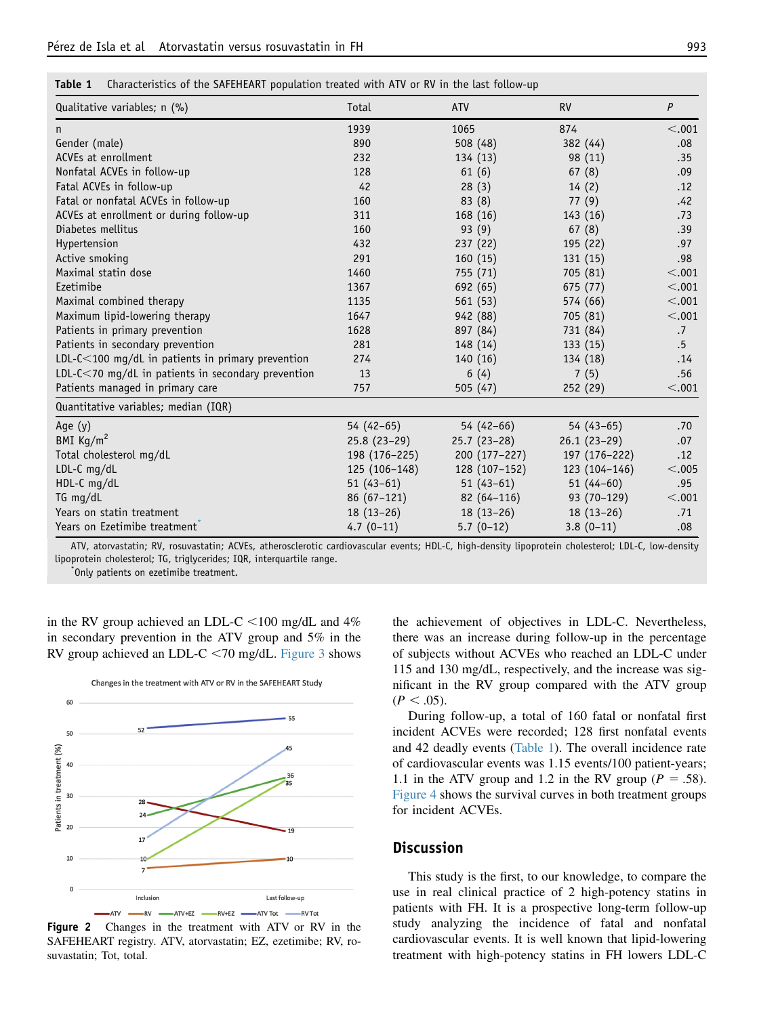<span id="page-4-0"></span>

| <b>Table 1</b> Characteristics of the SAFEHEART population treated with ATV or RV in the last follow-up |  |  |  |
|---------------------------------------------------------------------------------------------------------|--|--|--|
|---------------------------------------------------------------------------------------------------------|--|--|--|

| Qualitative variables; n (%)                            | Total         | <b>ATV</b>    | <b>RV</b>     | P      |
|---------------------------------------------------------|---------------|---------------|---------------|--------|
| n                                                       | 1939          | 1065          | 874           | < .001 |
| Gender (male)                                           | 890           | 508 (48)      | 382 (44)      | .08    |
| ACVEs at enrollment                                     | 232           | 134 (13)      | 98 (11)       | .35    |
| Nonfatal ACVEs in follow-up                             | 128           | 61(6)         | 67(8)         | .09    |
| Fatal ACVEs in follow-up                                | 42            | 28(3)         | 14(2)         | .12    |
| Fatal or nonfatal ACVEs in follow-up                    | 160           | 83(8)         | 77(9)         | .42    |
| ACVEs at enrollment or during follow-up                 | 311           | 168(16)       | 143 (16)      | .73    |
| Diabetes mellitus                                       | 160           | 93 (9)        | 67(8)         | .39    |
| Hypertension                                            | 432           | 237(22)       | 195 (22)      | .97    |
| Active smoking                                          | 291           | 160(15)       | 131 (15)      | .98    |
| Maximal statin dose                                     | 1460          | 755 (71)      | 705 (81)      | < .001 |
| Ezetimibe                                               | 1367          | 692 (65)      | 675 (77)      | < .001 |
| Maximal combined therapy                                | 1135          | 561 (53)      | 574 (66)      | < .001 |
| Maximum lipid-lowering therapy                          | 1647          | 942 (88)      | 705 (81)      | < .001 |
| Patients in primary prevention                          | 1628          | 897 (84)      | 731 (84)      | .7     |
| Patients in secondary prevention                        | 281           | 148 (14)      | 133 (15)      | $.5\,$ |
| LDL-C<100 mg/dL in patients in primary prevention       | 274           | 140(16)       | 134 (18)      | .14    |
| LDL- $C < 70$ mg/dL in patients in secondary prevention | 13            | 6(4)          | 7(5)          | .56    |
| Patients managed in primary care                        | 757           | 505(47)       | 252(29)       | < .001 |
| Quantitative variables; median (IQR)                    |               |               |               |        |
| Age (y)                                                 | $54(42-65)$   | $54(42-66)$   | $54(43-65)$   | .70    |
| BMI $\text{Kg/m}^2$                                     | $25.8(23-29)$ | $25.7(23-28)$ | $26.1(23-29)$ | .07    |
| Total cholesterol mg/dL                                 | 198 (176-225) | 200 (177-227) | 197 (176-222) | .12    |
| LDL-C mg/dL                                             | 125 (106-148) | 128 (107-152) | 123 (104-146) | < .005 |
| HDL-C mg/dL                                             | $51(43-61)$   | $51(43-61)$   | $51(44-60)$   | .95    |
| $TG$ mg/dL                                              | $86(67-121)$  | $82(64-116)$  | 93 (70-129)   | < .001 |
| Years on statin treatment                               | $18(13-26)$   | $18(13-26)$   | $18(13-26)$   | .71    |
| Years on Ezetimibe treatment                            | $4.7(0-11)$   | $5.7(0-12)$   | $3.8(0-11)$   | .08    |

ATV, atorvastatin; RV, rosuvastatin; ACVEs, atherosclerotic cardiovascular events; HDL-C, high-density lipoprotein cholesterol; LDL-C, low-density lipoprotein cholesterol; TG, triglycerides; IQR, interquartile range. \*

Only patients on ezetimibe treatment.



in the RV group achieved an LDL-C  $\lt$ 100 mg/dL and 4% in secondary prevention in the ATV group and 5% in the RV group achieved an LDL-C  $\leq$  70 mg/dL. [Figure 3](#page-6-0) shows

Figure 2 Changes in the treatment with ATV or RV in the SAFEHEART registry. ATV, atorvastatin; EZ, ezetimibe; RV, rosuvastatin; Tot, total.

the achievement of objectives in LDL-C. Nevertheless, there was an increase during follow-up in the percentage of subjects without ACVEs who reached an LDL-C under 115 and 130 mg/dL, respectively, and the increase was significant in the RV group compared with the ATV group  $(P < .05)$ .

During follow-up, a total of 160 fatal or nonfatal first incident ACVEs were recorded; 128 first nonfatal events and 42 deadly events (Table 1). The overall incidence rate of cardiovascular events was 1.15 events/100 patient-years; 1.1 in the ATV group and 1.2 in the RV group ( $P = .58$ ). [Figure 4](#page-6-0) shows the survival curves in both treatment groups for incident ACVEs.

### **Discussion**

This study is the first, to our knowledge, to compare the use in real clinical practice of 2 high-potency statins in patients with FH. It is a prospective long-term follow-up study analyzing the incidence of fatal and nonfatal cardiovascular events. It is well known that lipid-lowering treatment with high-potency statins in FH lowers LDL-C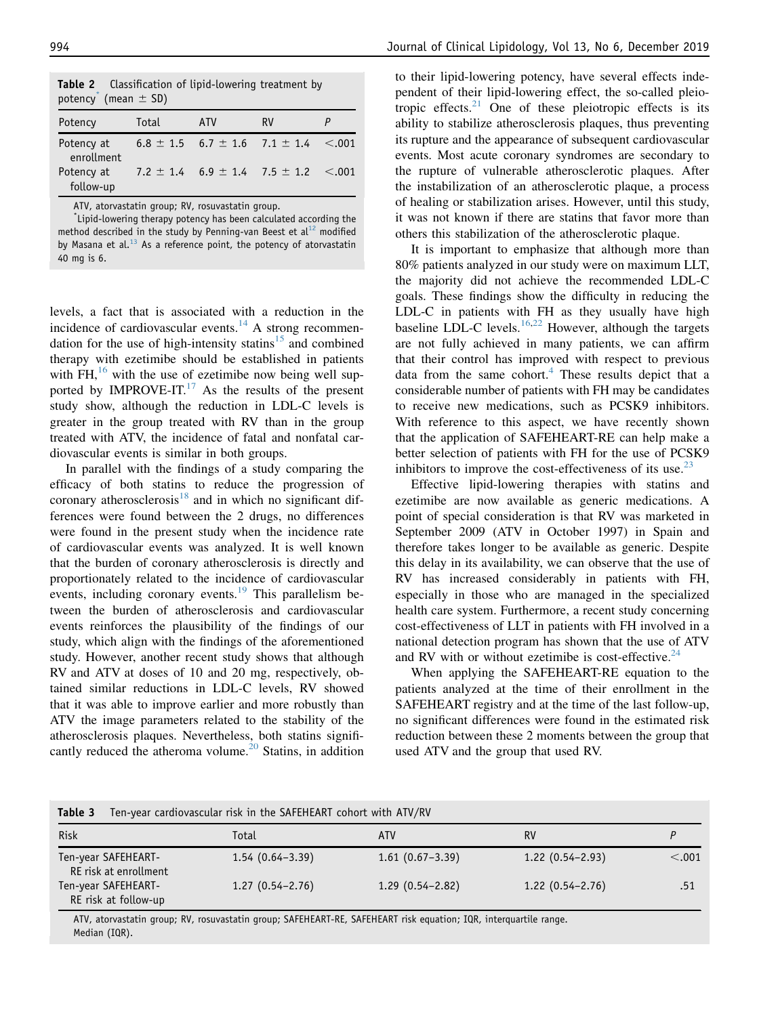<span id="page-5-0"></span>

| Table 2 Classification of lipid-lowering treatment by<br>potency <sup>*</sup> (mean $\pm$ SD) |       |                                           |                                                    |              |
|-----------------------------------------------------------------------------------------------|-------|-------------------------------------------|----------------------------------------------------|--------------|
| Potency                                                                                       | Total | <b>ATV</b>                                | RV                                                 |              |
| Potency at<br>enrollment                                                                      |       |                                           | $6.8 \pm 1.5$ $6.7 \pm 1.6$ $7.1 \pm 1.4$ $< .001$ |              |
| Potency at<br>follow-up                                                                       |       | 7.2 $\pm$ 1.4 6.9 $\pm$ 1.4 7.5 $\pm$ 1.2 |                                                    | $\leq 0.001$ |

ATV, atorvastatin group; RV, rosuvastatin group.

\* Lipid-lowering therapy potency has been calculated according the method described in the study by Penning-van Beest et al<sup>[12](#page-7-0)</sup> modified by Masana et al. $^{13}$  $^{13}$  $^{13}$  As a reference point, the potency of atorvastatin 40 mg is 6.

levels, a fact that is associated with a reduction in the incidence of cardiovascular events.<sup>14</sup> A strong recommen-dation for the use of high-intensity statins<sup>[15](#page-7-0)</sup> and combined therapy with ezetimibe should be established in patients with FH, $^{16}$  $^{16}$  $^{16}$  with the use of ezetimibe now being well supported by IMPROVE-IT. $^{17}$  $^{17}$  $^{17}$  As the results of the present study show, although the reduction in LDL-C levels is greater in the group treated with RV than in the group treated with ATV, the incidence of fatal and nonfatal cardiovascular events is similar in both groups.

In parallel with the findings of a study comparing the efficacy of both statins to reduce the progression of coronary atherosclerosis $18$  and in which no significant differences were found between the 2 drugs, no differences were found in the present study when the incidence rate of cardiovascular events was analyzed. It is well known that the burden of coronary atherosclerosis is directly and proportionately related to the incidence of cardiovascular events, including coronary events.<sup>[19](#page-7-0)</sup> This parallelism between the burden of atherosclerosis and cardiovascular events reinforces the plausibility of the findings of our study, which align with the findings of the aforementioned study. However, another recent study shows that although RV and ATV at doses of 10 and 20 mg, respectively, obtained similar reductions in LDL-C levels, RV showed that it was able to improve earlier and more robustly than ATV the image parameters related to the stability of the atherosclerosis plaques. Nevertheless, both statins significantly reduced the atheroma volume.<sup>20</sup> Statins, in addition to their lipid-lowering potency, have several effects independent of their lipid-lowering effect, the so-called pleiotropic effects. $21$  One of these pleiotropic effects is its ability to stabilize atherosclerosis plaques, thus preventing its rupture and the appearance of subsequent cardiovascular events. Most acute coronary syndromes are secondary to the rupture of vulnerable atherosclerotic plaques. After the instabilization of an atherosclerotic plaque, a process of healing or stabilization arises. However, until this study, it was not known if there are statins that favor more than others this stabilization of the atherosclerotic plaque.

It is important to emphasize that although more than 80% patients analyzed in our study were on maximum LLT, the majority did not achieve the recommended LDL-C goals. These findings show the difficulty in reducing the LDL-C in patients with FH as they usually have high baseline LDL-C levels.<sup>[16,22](#page-7-0)</sup> However, although the targets are not fully achieved in many patients, we can affirm that their control has improved with respect to previous data from the same cohort.<sup>[4](#page-7-0)</sup> These results depict that a considerable number of patients with FH may be candidates to receive new medications, such as PCSK9 inhibitors. With reference to this aspect, we have recently shown that the application of SAFEHEART-RE can help make a better selection of patients with FH for the use of PCSK9 inhibitors to improve the cost-effectiveness of its use. $^{23}$  $^{23}$  $^{23}$ 

Effective lipid-lowering therapies with statins and ezetimibe are now available as generic medications. A point of special consideration is that RV was marketed in September 2009 (ATV in October 1997) in Spain and therefore takes longer to be available as generic. Despite this delay in its availability, we can observe that the use of RV has increased considerably in patients with FH, especially in those who are managed in the specialized health care system. Furthermore, a recent study concerning cost-effectiveness of LLT in patients with FH involved in a national detection program has shown that the use of ATV and RV with or without ezetimibe is cost-effective. $24$ 

When applying the SAFEHEART-RE equation to the patients analyzed at the time of their enrollment in the SAFEHEART registry and at the time of the last follow-up, no significant differences were found in the estimated risk reduction between these 2 moments between the group that used ATV and the group that used RV.

| Table 3                                      | Ten-year cardiovascular risk in the SAFEHEART cohort with ATV/RV                                           |                     |                     |        |
|----------------------------------------------|------------------------------------------------------------------------------------------------------------|---------------------|---------------------|--------|
| Risk                                         | Total                                                                                                      | <b>ATV</b>          | RV                  |        |
| Ten-year SAFEHEART-<br>RE risk at enrollment | $1.54(0.64-3.39)$                                                                                          | $1.61(0.67-3.39)$   | $1.22(0.54-2.93)$   | < .001 |
| Ten-year SAFEHEART-<br>RE risk at follow-up  | $1.27(0.54 - 2.76)$                                                                                        | $1.29(0.54 - 2.82)$ | $1.22(0.54 - 2.76)$ | .51    |
|                                              | ATV atomastatin group: PV resurration group: CAEEUEADT DE CAEEUEADT rick equation: JOD interguartile range |                     |                     |        |

ATV, atorvastatin group; RV, rosuvastatin group; SAFEHEART-RE, SAFEHEART risk equation; IQR, interquartile range. Median (IQR).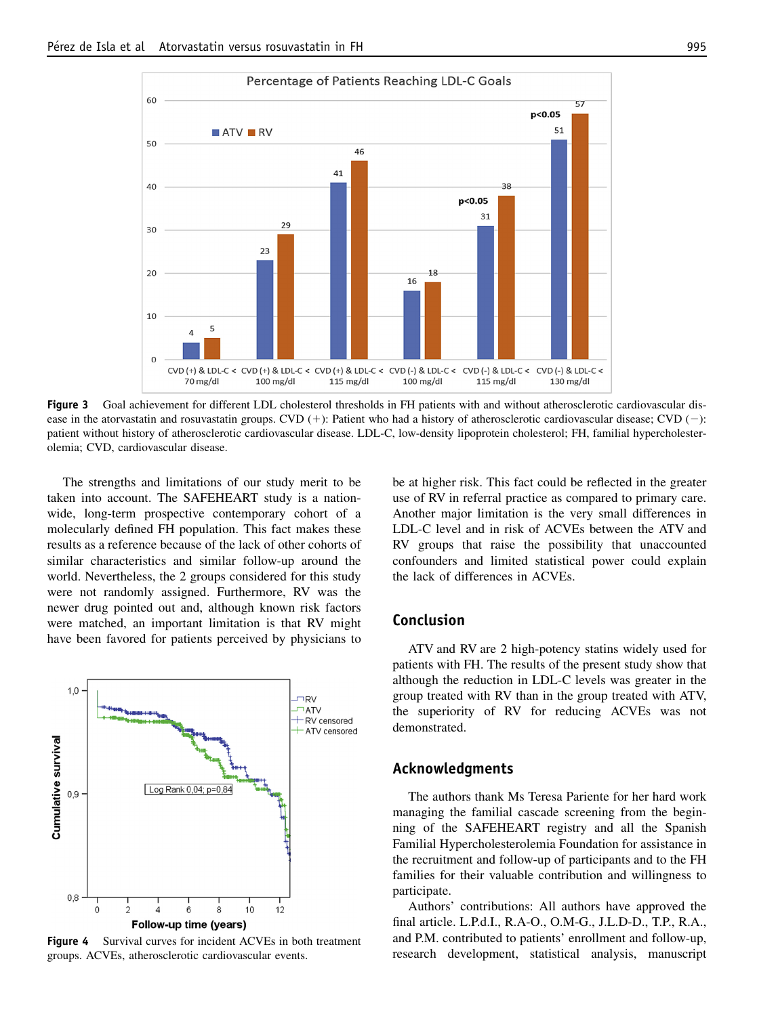<span id="page-6-0"></span>

Figure 3 Goal achievement for different LDL cholesterol thresholds in FH patients with and without atherosclerotic cardiovascular disease in the atorvastatin and rosuvastatin groups. CVD  $(+)$ : Patient who had a history of atherosclerotic cardiovascular disease; CVD  $(-)$ : patient without history of atherosclerotic cardiovascular disease. LDL-C, low-density lipoprotein cholesterol; FH, familial hypercholesterolemia; CVD, cardiovascular disease.

The strengths and limitations of our study merit to be taken into account. The SAFEHEART study is a nationwide, long-term prospective contemporary cohort of a molecularly defined FH population. This fact makes these results as a reference because of the lack of other cohorts of similar characteristics and similar follow-up around the world. Nevertheless, the 2 groups considered for this study were not randomly assigned. Furthermore, RV was the newer drug pointed out and, although known risk factors were matched, an important limitation is that RV might have been favored for patients perceived by physicians to



**Figure 4** Survival curves for incident ACVEs in both treatment groups. ACVEs, atherosclerotic cardiovascular events.

be at higher risk. This fact could be reflected in the greater use of RV in referral practice as compared to primary care. Another major limitation is the very small differences in LDL-C level and in risk of ACVEs between the ATV and RV groups that raise the possibility that unaccounted confounders and limited statistical power could explain the lack of differences in ACVEs.

## Conclusion

ATV and RV are 2 high-potency statins widely used for patients with FH. The results of the present study show that although the reduction in LDL-C levels was greater in the group treated with RV than in the group treated with ATV, the superiority of RV for reducing ACVEs was not demonstrated.

### Acknowledgments

The authors thank Ms Teresa Pariente for her hard work managing the familial cascade screening from the beginning of the SAFEHEART registry and all the Spanish Familial Hypercholesterolemia Foundation for assistance in the recruitment and follow-up of participants and to the FH families for their valuable contribution and willingness to participate.

Authors' contributions: All authors have approved the final article. L.P.d.I., R.A-O., O.M-G., J.L.D-D., T.P., R.A., and P.M. contributed to patients' enrollment and follow-up, research development, statistical analysis, manuscript